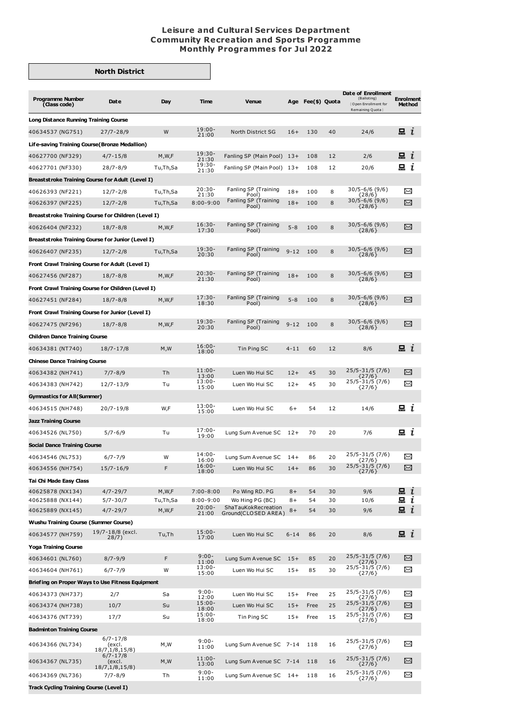## **Leisure and Cultural Services Department Community Recreation and Sports Programme Monthly Programmes for Jul 2022**

## **North District**

| <b>Programme Number</b>                                                              | Date                                       | Day               | Time                       | <b>Venue</b>                           | Age            | Fee(\$) Quota |          | <b>Date of Enrollment</b><br>(Balloting) | <b>Enrolment</b> |                                       |
|--------------------------------------------------------------------------------------|--------------------------------------------|-------------------|----------------------------|----------------------------------------|----------------|---------------|----------|------------------------------------------|------------------|---------------------------------------|
| (Class code)                                                                         |                                            |                   |                            |                                        |                |               |          | Open Enrollment for<br>Remaining Quota } |                  | Method                                |
| Long Distance Running Training Course                                                |                                            |                   |                            |                                        |                |               |          |                                          |                  |                                       |
| 40634537 (NG751)                                                                     | $27/7 - 28/9$                              | W                 | $19:00 -$<br>21:00         | North District SG                      | $16+$          | 130           | 40       | 24/6                                     | $\mathbf{a}$ i   |                                       |
| Life-saving Training Course (Bronze Medallion)                                       |                                            |                   |                            |                                        |                |               |          |                                          |                  |                                       |
| 40627700 (NF329)                                                                     | $4/7 - 15/8$                               | M, W, F           | $19:30-$<br>21:30          | Fanling SP (Main Pool) 13+             |                | 108           | 12       | 2/6                                      | $\Box$ $i$       |                                       |
| 40627701 (NF330)                                                                     | $28/7 - 8/9$                               | Tu,Th,Sa          | 19:30-<br>21:30            | Fanling SP (Main Pool)                 | - 13+          | 108           | 12       | 20/6                                     | 믔                | $\mathbf{I}$                          |
| Breaststroke Training Course for Adult (Level I)                                     |                                            |                   |                            |                                        |                |               |          |                                          |                  |                                       |
| 40626393 (NF221)                                                                     | $12/7 - 2/8$                               | Tu,Th,Sa          | $20:30-$<br>21:30          | Fanling SP (Training<br>Pool)          | $18+$          | 100           | 8        | 30/5-6/6 (9/6)<br>{28/6}                 | X                |                                       |
| 40626397 (NF225)                                                                     | $12/7 - 2/8$                               | Tu,Th,Sa          | $8:00 - 9:00$              | Fanling SP (Training<br>Pool)          | $18+$          | 100           | 8        | $30/5 - 6/6$ (9/6)<br>${28/6}$           | X                |                                       |
| Breaststroke Training Course for Children (Level I)                                  |                                            |                   |                            |                                        |                |               |          |                                          |                  |                                       |
| 40626404 (NF232)                                                                     | $18/7 - 8/8$                               | M, W, F           | $16:30-$<br>17:30          | Fanling SP (Training<br>Pool)          | $5 - 8$        | 100           | 8        | 30/5-6/6 (9/6)<br>${28/6}$               | $\Join$          |                                       |
| Breaststroke Training Course for Junior (Level I)                                    |                                            |                   |                            |                                        |                |               |          |                                          |                  |                                       |
| 40626407 (NF235)                                                                     | $12/7 - 2/8$                               | Tu,Th,Sa          | $19:30-$                   | Fanling SP (Training                   | $9 - 12$       | 100           | 8        | $30/5 - 6/6$ (9/6)                       |                  | $\scriptstyle\mathrel{\mathop{\sim}}$ |
| Front Crawl Training Course for Adult (Level I)                                      |                                            |                   | 20:30                      | Pool)                                  |                |               |          | ${28/6}$                                 |                  |                                       |
| 40627456 (NF287)                                                                     | $18/7 - 8/8$                               | M, W, F           | $20:30-$                   | Fanling SP (Training                   | $18+$          | 100           | 8        | 30/5-6/6 (9/6)                           | X                |                                       |
| Front Crawl Training Course for Children (Level I)                                   |                                            |                   | 21:30                      | Pool)                                  |                |               |          | ${28/6}$                                 |                  |                                       |
| 40627451 (NF284)                                                                     | $18/7 - 8/8$                               | M, W, F           | $17:30-$                   | Fanling SP (Training                   | $5 - 8$        | 100           | 8        | 30/5-6/6 (9/6)                           | X                |                                       |
| Front Crawl Training Course for Junior (Level I)                                     |                                            |                   | 18:30                      | Pool)                                  |                |               |          | ${28/6}$                                 |                  |                                       |
| 40627475 (NF296)                                                                     | $18/7 - 8/8$                               | M, W, F           | $19:30-$                   | Fanling SP (Training                   | $9 - 12$       | 100           | 8        | 30/5-6/6 (9/6)                           |                  | $\scriptstyle\mathrel{\mathop{\sim}}$ |
|                                                                                      |                                            |                   | 20:30                      | Pool)                                  |                |               |          | ${28/6}$                                 |                  |                                       |
| <b>Children Dance Training Course</b>                                                |                                            |                   | $16:00 -$                  |                                        |                |               |          |                                          | $\mathbf{a}$ i   |                                       |
| 40634381 (NT740)                                                                     | 18/7-17/8                                  | M, W              | 18:00                      | Tin Ping SC                            | $4 - 11$       | 60            | 12       | 8/6                                      |                  |                                       |
| <b>Chinese Dance Training Course</b>                                                 |                                            |                   | $11:00 -$                  |                                        |                |               |          | 25/5-31/5 (7/6)                          |                  |                                       |
| 40634382 (NH741)                                                                     | $7/7 - 8/9$                                | Τh                | 13:00<br>$13:00 -$         | Luen Wo Hui SC                         | $12+$          | 45            | 30       | ${27/6}$<br>25/5-31/5 (7/6)              | $\Join$          |                                       |
| 40634383 (NH742)                                                                     | 12/7-13/9                                  | Τu                | 15:00                      | Luen Wo Hui SC                         | $12+$          | 45            | 30       | ${27/6}$                                 | $\Join$          |                                       |
| Gymnastics for All(Summer)                                                           |                                            |                   | $13:00 -$                  |                                        |                |               |          |                                          |                  |                                       |
| 40634515 (NH748)                                                                     | 20/7-19/8                                  | W,F               | 15:00                      | Luen Wo Hui SC                         | $6+$           | 54            | 12       | 14/6                                     | 묘 i              |                                       |
| <b>Jazz Training Course</b>                                                          |                                            |                   |                            |                                        |                |               |          |                                          |                  |                                       |
| 40634526 (NL750)                                                                     | $5/7 - 6/9$                                | Τu                | $17:00 -$<br>19:00         | Lung Sum A venue SC 12+                |                | 70            | 20       | 7/6                                      | 品 <i>ι</i>       |                                       |
| Social Dance Training Course                                                         |                                            |                   |                            |                                        |                |               |          |                                          |                  |                                       |
| 40634546 (NL753)                                                                     | $6/7 - 7/9$                                | W                 | $14:00 -$<br>16:00         | Lung Sum A venue SC                    | $14+$          | 86            | 20       | 25/5-31/5 (7/6)<br>{27/6}                | $\Join$          |                                       |
| 40634556 (NH754)                                                                     | $15/7 - 16/9$                              | F                 | $16:00 -$<br>18:00         | Luen Wo Hui SC                         | $14+$          | 86            | 30       | $25/5 - 31/5$ (7/6)<br>${27/6}$          | χ                |                                       |
| Tai Chi Made Easy Class                                                              |                                            |                   |                            |                                        |                |               |          |                                          |                  |                                       |
| 40625878 (NX134)                                                                     | $4/7 - 29/7$                               | M, W, F           | $7:00 - 8:00$              | Po Wing RD. PG                         | $8+$           | 54            | 30       | 9/6                                      | 묘<br>묘           | ı                                     |
| 40625888 (NX144)<br>40625889 (NX145)                                                 | $5/7 - 30/7$<br>$4/7 - 29/7$               | Tu,Th,Sa<br>M,W,F | $8:00 - 9:00$<br>$20:00 -$ | Wo Hing PG (BC)<br>ShaTauKokRecreation | $8+$<br>$8+$   | 54<br>54      | 30<br>30 | 10/6<br>9/6                              | $\Xi$ i          | ı                                     |
| <b>Wushu Training Course (Summer Course)</b>                                         |                                            |                   | 21:00                      | Ground(CLOSED AREA)                    |                |               |          |                                          |                  |                                       |
| 40634577 (NH759)                                                                     | 19/7-18/8 (excl.                           | Tu,Th             | $15:00 -$                  | Luen Wo Hui SC                         | $6 - 14$       | 86            | 20       | 8/6                                      | $\mathbf{a}$ i   |                                       |
|                                                                                      | 28/7)                                      |                   | 17:00                      |                                        |                |               |          |                                          |                  |                                       |
| <b>Yoga Training Course</b><br>40634601 (NL760)                                      |                                            | F                 | $9:00 -$                   | Lung Sum A venue SC                    |                |               | 20       | 25/5-31/5 (7/6)                          |                  | X                                     |
|                                                                                      | $8/7 - 9/9$                                | W                 | 11:00<br>$13:00 -$         | Luen Wo Hui SC                         | $15+$<br>$15+$ | 85<br>85      | 30       | ${27/6}$<br>25/5-31/5 (7/6)              | X                |                                       |
| 40634604 (NH761)                                                                     | $6/7 - 7/9$                                |                   | 15:00                      |                                        |                |               |          | ${27/6}$                                 |                  |                                       |
| Briefing on Proper Ways to Use Fitness Equipment<br>$9:00 -$<br>25/5-31/5 (7/6)<br>⊠ |                                            |                   |                            |                                        |                |               |          |                                          |                  |                                       |
| 40634373 (NH737)                                                                     | 2/7                                        | Sa                | 12:00<br>$15:00 -$         | Luen Wo Hui SC                         | $15+$          | Free          | 25       | ${27/6}$<br>25/5-31/5 (7/6)              |                  |                                       |
| 40634374 (NH738)<br>40634376 (NT739)                                                 | 10/7<br>17/7                               | Su<br>Su          | 18:00<br>$15:00 -$         | Luen Wo Hui SC<br>Tin Ping SC          | $15+$<br>$15+$ | Free<br>Free  | 25<br>15 | ${27/6}$<br>25/5-31/5 (7/6)              | X<br>⊠           |                                       |
|                                                                                      |                                            |                   | 18:00                      |                                        |                |               |          | ${27/6}$                                 |                  |                                       |
| <b>Badminton Training Course</b>                                                     | $6/7 - 17/8$                               |                   |                            |                                        |                |               |          |                                          |                  |                                       |
| 40634366 (NL734)                                                                     | (excl.<br>18/7, 1/8, 15/8)                 | M,W               | $9:00 -$<br>11:00          | Lung Sum A venue SC 7-14               |                | 118           | 16       | 25/5-31/5 (7/6)<br>${27/6}$              | X                |                                       |
| 40634367 (NL735)                                                                     | $6/7 - 17/8$<br>(excl.<br>18/7, 1/8, 15/8) | M,W               | $11:00 -$<br>13:00         | Lung Sum A venue SC 7-14               |                | 118           | 16       | 25/5-31/5 (7/6)<br>${27/6}$              |                  | ⊠                                     |
| 40634369 (NL736)                                                                     | $7/7 - 8/9$                                | Тh                | $9:00 -$<br>11:00          | Lung Sum A venue SC 14+                |                | 118           | 16       | 25/5-31/5 (7/6)<br>${27/6}$              | X                |                                       |
| Track Cycling Training Course (Level I)                                              |                                            |                   |                            |                                        |                |               |          |                                          |                  |                                       |